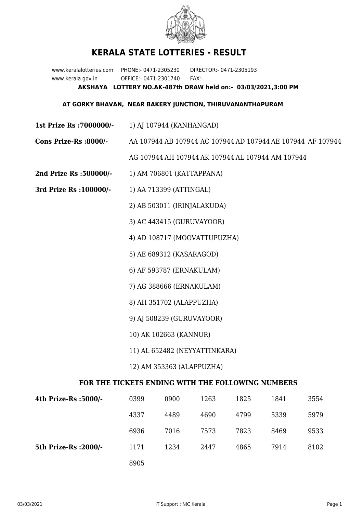

## **KERALA STATE LOTTERIES - RESULT**

www.keralalotteries.com PHONE:- 0471-2305230 DIRECTOR:- 0471-2305193 www.kerala.gov.in OFFICE:- 0471-2301740 FAX:- **AKSHAYA LOTTERY NO.AK-487th DRAW held on:- 03/03/2021,3:00 PM**

## **AT GORKY BHAVAN, NEAR BAKERY JUNCTION, THIRUVANANTHAPURAM**

- **1st Prize Rs :7000000/-** 1) AJ 107944 (KANHANGAD)
- **Cons Prize-Rs :8000/-** AA 107944 AB 107944 AC 107944 AD 107944 AE 107944 AF 107944

AG 107944 AH 107944 AK 107944 AL 107944 AM 107944

- **2nd Prize Rs :500000/-** 1) AM 706801 (KATTAPPANA)
- **3rd Prize Rs :100000/-** 1) AA 713399 (ATTINGAL)

2) AB 503011 (IRINJALAKUDA)

3) AC 443415 (GURUVAYOOR)

4) AD 108717 (MOOVATTUPUZHA)

5) AE 689312 (KASARAGOD)

6) AF 593787 (ERNAKULAM)

7) AG 388666 (ERNAKULAM)

- 8) AH 351702 (ALAPPUZHA)
- 9) AJ 508239 (GURUVAYOOR)
- 10) AK 102663 (KANNUR)
- 11) AL 652482 (NEYYATTINKARA)
- 12) AM 353363 (ALAPPUZHA)

## **FOR THE TICKETS ENDING WITH THE FOLLOWING NUMBERS**

| 4th Prize-Rs :5000/-  | 0399 | 0900 | 1263 | 1825 | 1841 | 3554 |
|-----------------------|------|------|------|------|------|------|
|                       | 4337 | 4489 | 4690 | 4799 | 5339 | 5979 |
|                       | 6936 | 7016 | 7573 | 7823 | 8469 | 9533 |
| 5th Prize-Rs : 2000/- | 1171 | 1234 | 2447 | 4865 | 7914 | 8102 |
|                       | 8905 |      |      |      |      |      |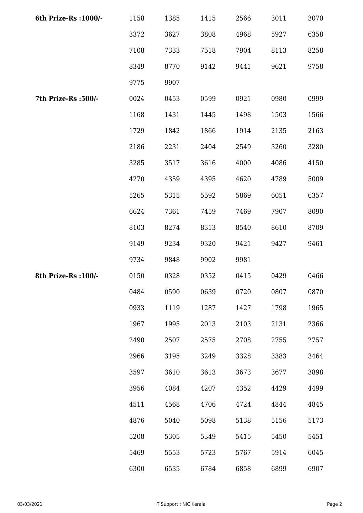| 6th Prize-Rs : 1000/- | 1158 | 1385 | 1415 | 2566 | 3011 | 3070 |
|-----------------------|------|------|------|------|------|------|
|                       | 3372 | 3627 | 3808 | 4968 | 5927 | 6358 |
|                       | 7108 | 7333 | 7518 | 7904 | 8113 | 8258 |
|                       | 8349 | 8770 | 9142 | 9441 | 9621 | 9758 |
|                       | 9775 | 9907 |      |      |      |      |
| 7th Prize-Rs :500/-   | 0024 | 0453 | 0599 | 0921 | 0980 | 0999 |
|                       | 1168 | 1431 | 1445 | 1498 | 1503 | 1566 |
|                       | 1729 | 1842 | 1866 | 1914 | 2135 | 2163 |
|                       | 2186 | 2231 | 2404 | 2549 | 3260 | 3280 |
|                       | 3285 | 3517 | 3616 | 4000 | 4086 | 4150 |
|                       | 4270 | 4359 | 4395 | 4620 | 4789 | 5009 |
|                       | 5265 | 5315 | 5592 | 5869 | 6051 | 6357 |
|                       | 6624 | 7361 | 7459 | 7469 | 7907 | 8090 |
|                       | 8103 | 8274 | 8313 | 8540 | 8610 | 8709 |
|                       | 9149 | 9234 | 9320 | 9421 | 9427 | 9461 |
|                       | 9734 | 9848 | 9902 | 9981 |      |      |
| 8th Prize-Rs : 100/-  | 0150 | 0328 | 0352 | 0415 | 0429 | 0466 |
|                       | 0484 | 0590 | 0639 | 0720 | 0807 | 0870 |
|                       | 0933 | 1119 | 1287 | 1427 | 1798 | 1965 |
|                       | 1967 | 1995 | 2013 | 2103 | 2131 | 2366 |
|                       | 2490 | 2507 | 2575 | 2708 | 2755 | 2757 |
|                       | 2966 | 3195 | 3249 | 3328 | 3383 | 3464 |
|                       | 3597 | 3610 | 3613 | 3673 | 3677 | 3898 |
|                       | 3956 | 4084 | 4207 | 4352 | 4429 | 4499 |
|                       | 4511 | 4568 | 4706 | 4724 | 4844 | 4845 |
|                       | 4876 | 5040 | 5098 | 5138 | 5156 | 5173 |
|                       | 5208 | 5305 | 5349 | 5415 | 5450 | 5451 |
|                       | 5469 | 5553 | 5723 | 5767 | 5914 | 6045 |
|                       | 6300 | 6535 | 6784 | 6858 | 6899 | 6907 |